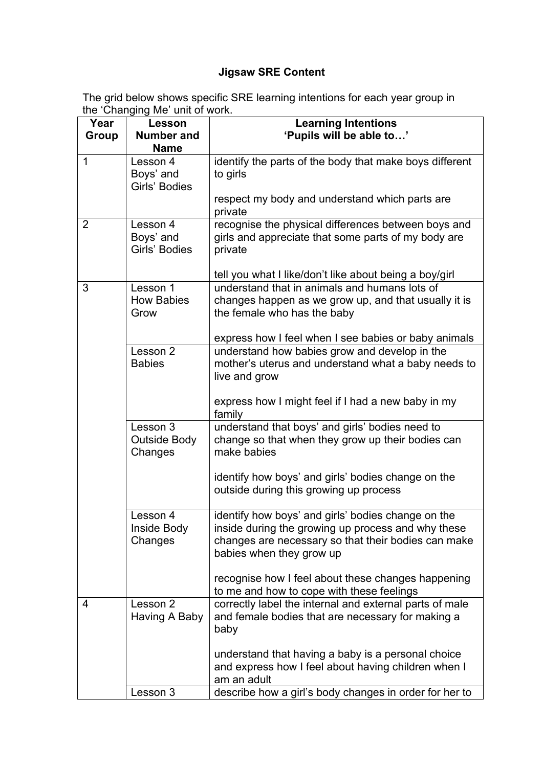## **Jigsaw SRE Content**

The grid below shows specific SRE learning intentions for each year group in the 'Changing Me' unit of work.

| Year         | <b>Lesson</b><br><b>Number and</b>         | <b>Learning Intentions</b><br>'Pupils will be able to'                                                                                                                                      |
|--------------|--------------------------------------------|---------------------------------------------------------------------------------------------------------------------------------------------------------------------------------------------|
| <b>Group</b> | <b>Name</b>                                |                                                                                                                                                                                             |
| $\mathbf{1}$ | Lesson 4<br>Boys' and<br>Girls' Bodies     | identify the parts of the body that make boys different<br>to girls                                                                                                                         |
|              |                                            | respect my body and understand which parts are<br>private                                                                                                                                   |
| 2            | Lesson 4<br>Boys' and<br>Girls' Bodies     | recognise the physical differences between boys and<br>girls and appreciate that some parts of my body are<br>private<br>tell you what I like/don't like about being a boy/girl             |
| 3            | Lesson 1                                   | understand that in animals and humans lots of                                                                                                                                               |
|              | <b>How Babies</b><br>Grow                  | changes happen as we grow up, and that usually it is<br>the female who has the baby                                                                                                         |
|              |                                            | express how I feel when I see babies or baby animals                                                                                                                                        |
|              | Lesson 2<br><b>Babies</b>                  | understand how babies grow and develop in the<br>mother's uterus and understand what a baby needs to<br>live and grow                                                                       |
|              |                                            | express how I might feel if I had a new baby in my<br>family                                                                                                                                |
|              | Lesson 3<br><b>Outside Body</b><br>Changes | understand that boys' and girls' bodies need to<br>change so that when they grow up their bodies can<br>make babies                                                                         |
|              |                                            | identify how boys' and girls' bodies change on the<br>outside during this growing up process                                                                                                |
|              | Lesson 4<br>Inside Body<br>Changes         | identify how boys' and girls' bodies change on the<br>inside during the growing up process and why these<br>changes are necessary so that their bodies can make<br>babies when they grow up |
|              |                                            | recognise how I feel about these changes happening<br>to me and how to cope with these feelings                                                                                             |
| 4            | Lesson 2<br>Having A Baby                  | correctly label the internal and external parts of male<br>and female bodies that are necessary for making a<br>baby                                                                        |
|              |                                            | understand that having a baby is a personal choice<br>and express how I feel about having children when I<br>am an adult                                                                    |
|              | Lesson 3                                   | describe how a girl's body changes in order for her to                                                                                                                                      |